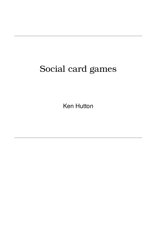# Social card games

Ken Hutton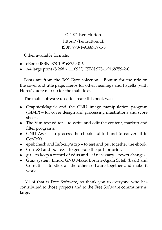© 2021 Ken Hutton. https://kenhutton.uk ISBN 978-1-9168759-1-3

Other available formats:

- eBook: ISBN 978-1-9168759-0-6
- A4 large print (8.268 × 11.693"): ISBN 978-1-9168759-2-0

Fonts are from the TeX Gyre colection – Bonum for the title on the cover and title page, Heros for other headings and Pagella (with Heros' quote marks) for the main text.

The main software used to create this book was:

- GraphicsMagick and the GNU image manipulation program (GIMP) – for cover design and processing illustrations and score sheets.
- The Vim text editor to write and edit the content, markup and filter programs.
- GNU Awk to process the ebook's xhtml and to convert it to ConTeXt.
- epubcheck and Info-zip's zip to test and put together the ebook.
- ConTeXt and pdfTeX to generate the pdf for print.
- git to keep a record of edits and if necessary revert changes.
- Guix system, Linux, GNU Make, Bourne-Again SHell (bash) and Coreutils – to stick all the other software together and make it work.

All of that is Free Software, so thank you to everyone who has contributed to those projects and to the Free Software community at large.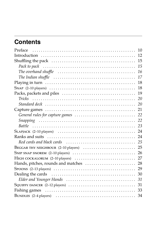## **Contents**

| Preface                                                                                                    | 10 |
|------------------------------------------------------------------------------------------------------------|----|
|                                                                                                            | 12 |
|                                                                                                            | 15 |
|                                                                                                            | 15 |
| The overhand shuffle $\dots\dots\dots\dots\dots\dots\dots\dots\dots\dots\dots\dots\dots\dots\dots$         | 16 |
| The Indian shuffle $\dots\dots\dots\dots\dots\dots\dots\dots\dots\dots\dots\dots\dots\dots\dots$           | 17 |
|                                                                                                            | 18 |
|                                                                                                            | 18 |
|                                                                                                            | 19 |
| Tricks                                                                                                     | 20 |
|                                                                                                            | 20 |
|                                                                                                            | 21 |
| General rules for capture games $\ldots \ldots \ldots \ldots \ldots \ldots \ldots \ldots \ldots$           | 22 |
|                                                                                                            | 22 |
|                                                                                                            | 23 |
|                                                                                                            | 24 |
| Ranks and suits $\ldots \ldots \ldots \ldots \ldots \ldots \ldots \ldots \ldots \ldots \ldots \ldots$      | 24 |
|                                                                                                            | 25 |
|                                                                                                            | 25 |
|                                                                                                            | 26 |
| HIGH COCKALORUM (2-10 players)                                                                             | 27 |
| Hands, pitches, rounds and matches                                                                         | 28 |
| $S$ POONS $(2-13$ players) $\dots \dots \dots \dots \dots \dots \dots \dots \dots \dots \dots \dots \dots$ | 29 |
|                                                                                                            | 30 |
|                                                                                                            | 31 |
| SQUIFFY DANCER (2-12 players)                                                                              | 31 |
|                                                                                                            | 33 |
|                                                                                                            | 34 |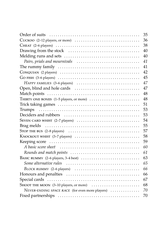| 35                                                                                                                         |
|----------------------------------------------------------------------------------------------------------------------------|
| 36<br>$Cucc \text{COO}$ (2–12 players, or more) $\ldots \ldots \ldots \ldots \ldots \ldots \ldots \ldots \ldots$           |
| 38<br>CHEAT $(2-6$ players) $\ldots \ldots \ldots \ldots \ldots \ldots \ldots \ldots \ldots \ldots \ldots \ldots \ldots$   |
| 40                                                                                                                         |
| 40                                                                                                                         |
| 41                                                                                                                         |
| 41                                                                                                                         |
| 42                                                                                                                         |
| 45<br>GO FISH $(3-6$ players) $\ldots \ldots \ldots \ldots \ldots \ldots \ldots \ldots \ldots \ldots \ldots \ldots \ldots$ |
| 47<br>$H$ APPY FAMILIES (3–6 players) $\ldots \ldots \ldots \ldots \ldots \ldots \ldots \ldots \ldots$                     |
| 47                                                                                                                         |
| 48                                                                                                                         |
| 48<br>THIRTY ONE BONES (1–5 players, or more)                                                                              |
| 51                                                                                                                         |
| 53<br>Trumps                                                                                                               |
| 53                                                                                                                         |
| 54<br>SEVEN CARD WHIST $(2-7$ players)                                                                                     |
| 55                                                                                                                         |
| 57                                                                                                                         |
| 58<br>KNOCKOUT WHIST (3-7 players)                                                                                         |
| 59                                                                                                                         |
| 60                                                                                                                         |
| 61                                                                                                                         |
| BASIC RUMMY (2-6 players, 3-4 best)<br>63                                                                                  |
| 65<br>$Some alternative rules \dots \dots \dots \dots \dots \dots \dots \dots \dots \dots \dots \dots \dots \dots$         |
| 66<br>$B$ LOCK RUMMY $(2-6$ players) $\ldots \ldots \ldots \ldots \ldots \ldots \ldots \ldots \ldots$                      |
| 66                                                                                                                         |
| 67                                                                                                                         |
| 68                                                                                                                         |
| 70<br>NEVER-ENDING SPACE RACE (for even more players)                                                                      |
| 70                                                                                                                         |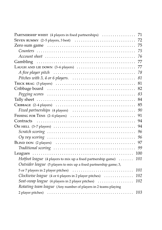| PARTNERSHIP WHIST (4 players in fixed partnerships)                                                           | 71  |
|---------------------------------------------------------------------------------------------------------------|-----|
| SEVEN RUMMY $(2-5$ players, 3 best) $\dots \dots \dots \dots \dots \dots \dots \dots \dots \dots$             | 72  |
|                                                                                                               | 75  |
|                                                                                                               | 75  |
|                                                                                                               | 76  |
|                                                                                                               | 77  |
| LAUGH AND LIE DOWN (3–6 players)                                                                              | 77  |
| A five player pitch $\ldots \ldots \ldots \ldots \ldots \ldots \ldots \ldots \ldots \ldots \ldots \ldots$     | 78  |
| Pitches with $3, 4$ or 6 players. $\ldots \ldots \ldots \ldots \ldots \ldots \ldots \ldots \ldots$            | 81  |
|                                                                                                               | 81  |
|                                                                                                               | 82  |
|                                                                                                               | 83  |
|                                                                                                               | 84  |
|                                                                                                               | 85  |
|                                                                                                               | 90  |
| FISHING FOR TENS $(2-4$ players) $\ldots \ldots \ldots \ldots \ldots \ldots \ldots \ldots \ldots$             | 91  |
|                                                                                                               | 94  |
| OH HELL $(3-7$ players) $\dots \dots \dots \dots \dots \dots \dots \dots \dots \dots \dots \dots \dots \dots$ | 94  |
| Scratch scoring $\ldots \ldots \ldots \ldots \ldots \ldots \ldots \ldots \ldots \ldots \ldots \ldots \ldots$  | 96  |
| $Oy$ vey scoring $\ldots \ldots \ldots \ldots \ldots \ldots \ldots \ldots \ldots \ldots \ldots \ldots$        | 96  |
|                                                                                                               | 97  |
|                                                                                                               | 99  |
|                                                                                                               | 100 |
| <i>Hotfoot league</i> (4 players to mix up a fixed partnership game) $\dots \dots$                            | 101 |
| <i>Outsider league</i> (5 players to mix up a fixed partnership game; 3,                                      |     |
|                                                                                                               | 101 |
| Clockwise league (4 or 6 players in 2 player pitches)                                                         | 102 |
| Seat-swap league (4 players in 2 player pitches)                                                              | 102 |
| Rotating team league (Any number of players in 2 teams playing                                                |     |
|                                                                                                               | 103 |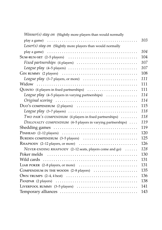| <i>Winner(s) stay on</i> (Slightly more players than would normally                                           |     |
|---------------------------------------------------------------------------------------------------------------|-----|
|                                                                                                               | 103 |
| Loser(s) stay on (Slightly more players than would normally                                                   |     |
|                                                                                                               | 104 |
| $Sum$ -RUN-SET $(2-5$ players) $\dots \dots \dots \dots \dots \dots \dots \dots \dots \dots \dots \dots$      | 104 |
|                                                                                                               | 107 |
| League play $(4-5$ players) $\ldots \ldots \ldots \ldots \ldots \ldots \ldots \ldots \ldots \ldots$           | 107 |
| $GIN$ RUMMY (2 players) $\ldots \ldots \ldots \ldots \ldots \ldots \ldots \ldots \ldots \ldots \ldots \ldots$ | 108 |
| League play $(3-7$ players, or more) $\ldots \ldots \ldots \ldots \ldots \ldots \ldots$                       | 111 |
|                                                                                                               | 111 |
| $\mathbf{Quin}$ TO (4 players in fixed partnerships) $\dots\dots\dots\dots\dots\dots\dots\dots$               | 111 |
| <i>League play</i> $(4-5$ players in varying partnerships) $\ldots \ldots \ldots \ldots$                      | 114 |
|                                                                                                               | 114 |
|                                                                                                               | 115 |
| League play $(3-7$ players) $\ldots \ldots \ldots \ldots \ldots \ldots \ldots \ldots \ldots \ldots$           | 118 |
| TWO PAIR'S COMPENDIUM (4 players in fixed partnerships)                                                       | 118 |
| DISLOYALTY COMPENDIUM (4-5 players in varying partnerships)                                                   | 119 |
|                                                                                                               | 119 |
|                                                                                                               | 120 |
| BURDEN COMPENDIUM $(3-5$ players) $\dots\dots\dots\dots\dots\dots\dots\dots\dots$                             | 125 |
| $R$ HAPSODY (2–12 players, or more) $\dots\dots\dots\dots\dots\dots\dots\dots\dots\dots\dots$                 | 126 |
| NEVER-ENDING RHAPSODY (2-12 seats, players come and go)                                                       | 128 |
|                                                                                                               | 130 |
| Wild cards                                                                                                    | 131 |
| LIAR POKER (2-8 players, or more)                                                                             | 131 |
| COMPENDIUM IN THE WOODS (2-8 players)                                                                         | 135 |
| OWN TRUMPS $(2-4, 4 \text{ best}) \dots \dots \dots \dots \dots \dots \dots \dots \dots \dots \dots \dots$    | 136 |
|                                                                                                               | 138 |
| LIVERPOOL RUMMY $(3-5$ players) $\ldots \ldots \ldots \ldots \ldots \ldots \ldots \ldots$                     | 141 |
|                                                                                                               | 143 |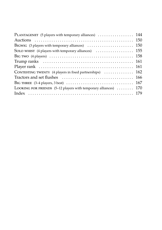| PLANTAGENET (5 players with temporary alliances)  144                                           |     |
|-------------------------------------------------------------------------------------------------|-----|
|                                                                                                 |     |
|                                                                                                 |     |
| SOLO WHIST (4 players with temporary alliances) $\ldots \ldots \ldots \ldots \ldots \ldots 155$ |     |
|                                                                                                 |     |
|                                                                                                 |     |
|                                                                                                 |     |
| CONTESTING TWENTY (4 players in fixed partnerships) $\ldots \ldots \ldots \ldots 162$           |     |
|                                                                                                 |     |
|                                                                                                 |     |
| LOOKING FOR FRIENDS $(5-12$ players with temporary alliances) $\dots\dots\dots$                 | 170 |
|                                                                                                 |     |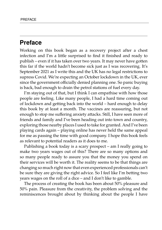## **Preface**

Working on this book began as a recovery project after a chest infection and I'm a little surprised to find it finished and ready to publish – even if it has taken over two years. It may never have gotten this far if the world hadn't become sick just as I was recovering. It's September 2021 as I write this and the UK has no legal restrictions to supress Covid. We're expecting an October lockdown in the UK, ever since the government officially denied planning one. So panic buying is back, bad enough to drain the petrol stations of fuel every day.

I'm staying out of that, but I think I can empathise with how those people are feeling. Like many people, I had a hard time coming out of lockdown and getting back into the world – hard enough to delay this book by at least a month. The vaccines are reassuring, but not enough to stop me suffering anxiety attacks. Still, I have seen more of friends and family and I've been heading out into town and country, exploring those nearby places I used to take for granted. And I've been playing cards again – playing online has never held the same appeal for me as passing the time with good company. I hope this book feels as relevant to potential readers as it does to me.

Publishing a book today is a scary prospect – am I really going to make two years wages out of this? There are so many options and so many people ready to assure you that the money you spend on their services will be worth it. The reality seems to be that things are changing so much right now that even experienced professionals can't be sure they are giving the right advice. So I feel like I'm betting two years wages on the roll of a dice – and I don't like to gamble.

The process of creating the book has been about 50% pleasure and 50% pain. Pleasure from the creativity, the problem solving and the reminiscences brought about by thinking about the people I have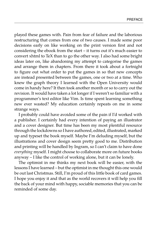played these games with. Pain from fear of failure and the laborious restructuring that comes from one of two causes. I made some poor decisions early on like working on the print version first and not considering the ebook from the start – it turns out it's much easier to convert xhtml to TeX than to go the other way. I also had some bright ideas later on, like abandoning my attempt to categorise the games and arrange them in chapters. From there it took about a fortnight to figure out what order to put the games in so that new concepts are instead presented between the games, one or two at a time. Who knew the graph theory I learned with the Open University would come in handy here? It then took another month or so to carry out the revision. It would have taken a lot longer if I weren't so familiar with a programmer's text editor like Vim. Is time spent learning something new ever wasted? My education certainly repeats on me in some strange ways.

I probably could have avoided some of the pain if I'd worked with a publisher. I certainly had every intention of paying an illustrator and a cover designer. But time has been my most plentiful resource through the lockdowns so I have authored, edited, illustrated, marked up and typeset the book myself. Maybe I'm deluding myself, but the illustrations and cover design seem pretty good to me. Distribution and printing will be handled by Ingram, so I can't claim to have done *everything* myself. I might choose to collaborate more on future books anyway – I like the control of working alone, but it can be lonely.

The optimist in me thinks my next book will be easier, with the lessons I have learned – but the optimist in me thought this one would be out last Christmas. Still, I'm proud of this little book of card games. I hope you enjoy it and that as the world recovers it will help you fill the back of your mind with happy, sociable memories that you can be reminded of some day.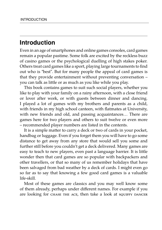## **Introduction**

Even in an age of smartphones and online games consoles, card games remain a popular pastime. Some folk are excited by the reckless buzz of casino games or the psychological duelling of high stakes poker. Others treat card games like a sport, playing large tournaments to find out who is "best". But for many people the appeal of card games is that they provide entertainment without preventing conversation – you can talk as little or as much as you like while you play.

This book contains games to suit such social players, whether you like to play with your family on a rainy afternoon, with a close friend or lover after work, or with guests between dinner and dancing. I played a lot of games with my brothers and parents as a child, with friends in my high school canteen, with flatmates at University, with new friends and old, and passing acquaintances… There are games here for two players and others to suit twelve or even more – recommended player numbers are listed in the contents.

It is a simple matter to carry a deck or two of cards in your pocket, handbag or luggage. Even if you forget them you will have to go some distance to get away from any store that would sell you some and further still before you couldn't get a deck delivered. Many games are easy to teach to new players, even past a language barrier. It is little wonder then that card games are so popular with backpackers and other travellers, or that so many of us remember holidays that have been salvaged from bad weather by a deck of cards. I might even go so far as to say that knowing a few good card games is a valuable life-skill.

Most of these games are classics and you may well know some of them already, perhaps under different names. For example if you are looking for CHASE THE ACE, then take a look at squiffy DANCER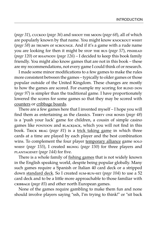(*page 31*), cuckoo (*page 36*) and shoot the moon (*page 68*), all of which are popularly known by that name. You might know knockout whist (*page 58*) as trumps or scrounge. And if it's a game with a rude name you are looking for then it might be stop the bus (*page 57*), PINHEAD (*page 120*) or RHAPSODY (*page 126*) – I decided to keep this book family friendly. You might also know games that are not in this book – these are my recommendations, not every game I could think of or research.

I made some minor modifications to a few games to make the rules more consistent between the games – typically to older games or those popular outside of the United Kingdom. These changes are mostly to how the games are scored. For example my scoring for BLIND DON (*page 97*) is simpler than the traditional game. I have proportionately lowered the scores for some games so that they may be scored with counters or cribbage boards.

There are a few games here that I invented myself – I hope you will find them as entertaining as the classics. Thirty one bones (*page 48*) is a 'push your luck' game for children, a cousin of simple casino games like pontoon and blackjack, which you will not find in this book. Trick brag (*page 81*) is a trick taking game in which three cards at a time are played by each player and the best combination wins. To complement the four player temporary alliance game solo whist (*page 155*), I created bigwig (*page 150*) for three players and plantagenet (*page 144*) for five.

There is a whole family of fishing games that is not widely known in the English speaking world, despite being popular globally. Many such games require a Spanish or Italian 40 card deck or a stripped down standard deck. So I created sum-RUN-SET (page 104) to use a 52 card deck and to be a little more approachable to those familiar with cribbage (*page 85*) and other north European games.

None of the games require gambling to make them fun and none should involve players saying "ssh, I'm trying to think!" or "sit back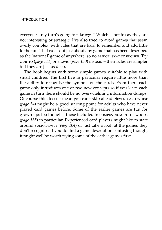everyone – my turn's going to take *ages!*" Which is not to say they are not interesting or strategic. I've also tried to avoid games that seem overly complex, with rules that are hard to remember and add little to the fun. That rules out just about any game that has been described as the 'national' game of anywhere, so no BRIDGE, SKAT OT EUCHRE. Try quinto (*page 111*) or bigwig (*page 150*) instead – their rules are simpler but they are just as deep.

The book begins with some simple games suitable to play with small children. The first five in particular require little more than the ability to recognise the symbols on the cards. From there each game only introduces one or two new concepts so if you learn each game in turn there should be no overwhelming information dumps. Of course this doesn't mean you can't skip ahead. Seven carp whist (*page 54*) might be a good starting point for adults who have never played card games before. Some of the earlier games are fun for grown ups too though – those included in compendium in the woods (*page 135*) in particular. Experienced card players might like to start around sum-run-set (*page 104*) or just take a look at the games they don't recognise. If you do find a game description confusing though, it might well be worth trying some of the earlier games first.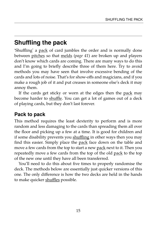## **Shuffling the pack**

'Shuffling' a pack of card jumbles the order and is normally done between pitches so that melds (*page 41*) are broken up and players don't know which cards are coming. There are many ways to do this and I'm going to briefly describe three of them here. Try to avoid methods you may have seen that involve excessive bending of the cards and lots of noise. That's for show-offs and magicians, and if you make a rough job of it and put creases in someone else's deck it may annoy them.

If the cards get sticky or worn at the edges then the pack may become harder to shuffle. You can get a lot of games out of a deck of playing cards, but they don't last forever.

## **Pack to pack**

This method requires the least dexterity to perform and is more random and less damaging to the cards than spreading them all over the floor and picking up a few at a time. It is good for children and if some disability prevents you shuffling in other ways then you may find this easier. Simply place the pack face down on the table and move a few cards from the top to start a new pack next to it. Then you repeatedly move a few cards from the top of the old pack to the top of the new one until they have all been transferred.

You'll need to do this about five times to properly randomise the deck. The methods below are essentially just quicker versions of this one. The only difference is how the two decks are held in the hands to make quicker shuffles possible.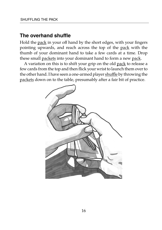### **The overhand shuffle**

Hold the pack in your off hand by the short edges, with your fingers pointing upwards, and reach across the top of the pack with the thumb of your dominant hand to take a few cards at a time. Drop these small packets into your dominant hand to form a new pack.

A variation on this is to shift your grip on the old pack to release a few cards from the top and then flick your wrist to launch them over to the other hand. I have seen a one-armed player shuffle by throwing the packets down on to the table, presumably after a fair bit of practice.

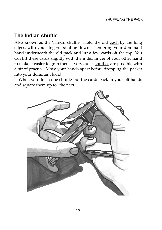## **The Indian shuffle**

Also known as the 'Hindu shuffle'. Hold the old pack by the long edges, with your fingers pointing down. Then bring your dominant hand underneath the old pack and lift a few cards off the top. You can lift these cards slightly with the index finger of your other hand to make it easier to grab them - very quick shuffles are possible with a bit of practice. Move your hands apart before dropping the packet into your dominant hand.

When you finish one shuffle put the cards back in your off hands and square them up for the next.

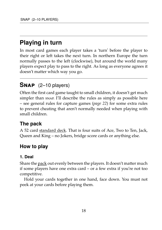## **Playing in turn**

In most card games each player takes a 'turn' before the player to their right or left takes the next turn. In northern Europe the turn normally passes to the left (clockwise), but around the world many players expect play to pass to the right. As long as everyone agrees it doesn't matter which way you go.

## **Snap** (2–10 players)

Often the first card game taught to small children, it doesn't get much simpler than snap. I'll describe the rules as simply as possible here – see general rules for capture games (*page 22*) for some extra rules to prevent cheating that aren't normally needed when playing with small children.

## **The pack**

A 52 card standard deck. That is four suits of Ace, Two to Ten, Jack, Queen and King – no Jokers, bridge score cards or anything else.

## **How to play**

#### **1. Deal**

Share the pack out evenly between the players. It doesn't matter much if some players have one extra card – or a few extra if you're not too competitive.

Hold your cards together in one hand, face down. You must not peek at your cards before playing them.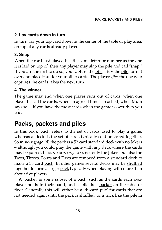#### **2. Lay cards down in turn**

In turn, lay your top card down in the center of the table or play area, on top of any cards already played.

#### **3. Snap**

When the card just played has the same letter or number as the one it is laid on top of, then any player may slap the pile and call "snap!" If you are the first to do so, you capture the pile. Tidy the pile, turn it over and place it under your other cards. The player *after* the one who captures the cards takes the next turn.

#### **4. The winner**

The game may end when one player runs out of cards, when one player has all the cards, when an agreed time is reached, when Mum says so… If you have the most cards when the game is over then you win.

## **Packs, packets and piles**

In this book 'pack' refers to the set of cards used to play a game, whereas a 'deck' is the set of cards typically sold or stored together. So in snap (*page 18*) the pack is a 52 card standard deck with no Jokers – although you could play the game with any deck where the cards may be paired. In BLIND DON (*page 97*), not only the Jokers but also the Twos, Threes, Fours and Fives are removed from a standard deck to make a 36 card pack. In other games several decks may be shuffled together to form a larger pack typically when playing with more than about five players.

A 'packet' is some subset of a pack, such as the cards each snap player holds in their hand, and a 'pile' is a packet on the table or floor. Generally this will either be a 'discard pile' for cards that are not needed again until the pack is shuffled, or a trick like the pile in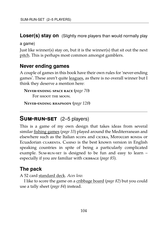**Loser(s) stay on** (Slightly more players than would normally play

a game)

Just like winner(s) stay on, but it is the winner(s) that sit out the next pitch. This is perhaps most common amongst gamblers.

### **Never ending games**

A couple of games in this book have their own rules for 'never-ending games'. These aren't quite leagues, as there is no overall winner but I think they deserve a mention here:

```
Never-ending space race (page 70)
For shoot the moon.
```
**Never-ending rhapsody (***page 128***)**

## **SUM-RUN-SET** (2–5 players)

This is a game of my own design that takes ideas from several similar fishing games (*page 33*) played around the Mediterranean and elsewhere such as the Italian scopa and cicera, Moroccan ronda or Ecuadorian cuarenta. Casino is the best known version in English speaking countries in spite of being a particularly complicated example. Sum-run-set is designed to be fun and easy to learn – especially if you are familiar with cribbage (*page 85*).

## **The pack**

A 52 card standard deck. *Aces low.*

I like to score the game on a cribbage board (*page 82*) but you could use a tally sheet (*page 84*) instead.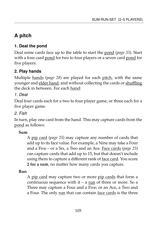## **A pitch**

#### **1. Deal the pond**

Deal some cards face up to the table to start the pond (*page 33*). Start with a four card pond for two to four players or a seven card pond for five players.

#### **2. Play hands**

Multiple hands (*page 28*) are played for each pitch, with the same younger and elder hand, and without collecting the cards or shuffling the deck in between. For each hand:

#### *1. Deal*

Deal four cards each for a two to four player game, or three each for a five player game.

#### *2. Fish*

In turn, play one card from the hand. This may capture cards from the pond as follows:

#### **Sum**

A pip card (*page 25*) may capture any number of cards that add up to its face value. For example, a Nine may take a Four and a Five – or a Six, a Two and an Ace. Face cards (*page 25*) can capture cards that add up to 15, but that doesn't include using them to capture a different rank of face card. You score **2 for a sum**, no matter how many cards you capture.

#### **Run**

A pip card may capture two or more pip cards that form a continuous sequence with it – a run of three or more. So a Three may capture a Four and a Five; or an Ace, a Two and a Four. The only run that can contain face cards is the three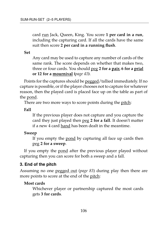card run Jack, Queen, King. You score **1 per card in a run**, including the capturing card. If all the cards have the same suit then score **2 per card in a running flush**.

**Set**

Any card may be used to capture any number of cards of the same rank. The score depends on whether that makes two, three or four cards. You should peg **2 for a pair, 6 for a prial or 12 for a mournival (***page 41***)**.

Points for the captures should be pegged/tallied immediately. If no capture is possible, or if the player chooses not to capture for whatever reason, then the played card is placed face up on the table as part of the pond.

There are two more ways to score points during the pitch:

**Fall**

If the previous player does not capture and you capture the card they just played then peg **2 for a fall**. It doesn't matter if a new 4 card hand has been dealt in the meantime.

#### **Sweep**

If you empty the pond by capturing all face up cards then peg **2 for a sweep**.

If you empty the pond after the previous player played without capturing then you can score for both a sweep and a fall.

#### **3. End of the pitch**

Assuming no one pegged out (*page 83*) during play then there are more points to score at the end of the pitch:

#### **Most cards**

Whichever player or partnership captured the most cards gets **3 for cards**.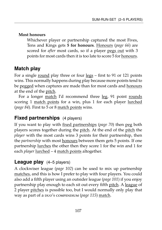#### **Most honours**

Whichever player or partnership captured the most Fives, Tens and Kings gets **5 for honours**. Honours (*page 66*) are scored for *after* most cards, so if a player pegs out with 3 points for most cards then it is too late to score 5 for honours.

## **Match play**

For a single round play three or four legs – first to 91 or 121 points wins. This normally happens during play because more points tend to be pegged when captures are made than for most cards and honours at the end of the pitch.

For a longer match I'd recommend three leg, 91 point rounds scoring 1 match points for a win, plus 1 for each player lurched (*page 84*). First to 5 or 8 match points wins.

### **Fixed partnerships** (4 players)

If you want to play with fixed partnerships (*page 70*) then peg both players scores together during the pitch. At the end of the pitch the *player* with the most cards wins 3 points for their partnership, then the *partnership* with most honours between them gets 5 points. If one partnership lurches the other then they score 1 for the win and 1 for each *player* lurched – 4 match points altogether.

## **League play** (4–5 players)

A clockwiser league (*page 102*) can be used to mix up partnership matches, and this is how I prefer to play with four players. You could also add a fifth player using an outsider league (*page 101*) if you enjoy partnership play enough to each sit out every fifth pitch. A league of 2 player pitches is possible too, but I would normally only play that way as part of a puo's compendium (*page 115*) match.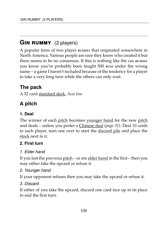## **GIN RUMMY** (2 players)

A popular form of two player rummy that originated somewhere in North America. Various people are sure they know who created it but there seems to be no consensus. If this is nothing like the gin rummy you know you've probably been taught 500 rum under the wrong name – a game I haven't included because of the tendency for a player to take a very long turn while the others can only wait.

## **The pack**

A 52 card standard deck, *Aces low.*

## **A pitch**

### **1. Deal**

The winner of each pitch becomes younger hand for the new pitch and deals – unless you prefer a Chinese deal (*page 31*). Deal 10 cards to each player, turn one over to start the discard pile and place the stock next to it.

### **2. First turn**

#### *1. Elder hand*

If you lost the previous pitch – or are elder hand in the first – then you may either take the upcard or refuse it.

#### *2. Younger hand*

If your opponent refuses then you may take the upcard or refuse it.

#### *3. Discard*

If either of you take the upcard, discard one card face up in its place to end the first turn.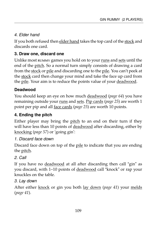### *4. Elder hand*

If you both refused then elder hand takes the top card of the stock and discards one card.

### **3. Draw one, discard one**

Unlike most rummy games you hold on to your runs and sets until the end of the pitch. So a normal turn simply consists of drawing a card from the stock or pile and discarding one to the pile. You can't peek at the stock card then change your mind and take the face up card from the pile. Your aim is to reduce the points value of your deadwood.

### **Deadwood**

You should keep an eye on how much deadwood (*page 64*) you have remaining outside your runs and sets. Pip cards (*page 25*) are worth 1 point per pip and all face cards (*page 25*) are worth 10 points.

## **4. Ending the pitch**

Either player may bring the pitch to an end on their turn if they will have less than 10 points of <u>deadwood</u> after discarding, either by knocking (*page 57*) or 'going gin':

### *1. Discard face down*

Discard face down on top of the pile to indicate that you are ending the pitch.

### *2. Call*

If you have no deadwood at all after discarding then call "gin" as you discard, with 1–10 points of deadwood call "knock" or rap your knuckles on the table.

### *3. Lay down*

After either knock or gin you both lay down (*page 41*) your melds (*page 41*).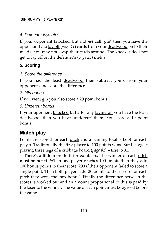#### *4. Defender lays off?*

If your opponent knocked, but did *not* call "gin" then you have the opportunity to lay off (*page 41*) cards from your deadwood on to their melds. You may not swap their cards around. The knocker does not get to lay off on the defender's (*page 23*) melds.

#### **5. Scoring**

#### *1. Score the difference*

If you had the least deadwood then subtract yours from your opponents and score the difference.

#### *2. Gin bonus*

If you went gin you also score a 20 point bonus.

#### *3. Undercut bonus*

If your opponent knocked but after any laying off you have the least deadwood, then you have 'undercut' them. You score a 10 point bonus.

## **Match play**

Points are scored for each pitch and a running total is kept for each player. Traditionally the first player to 100 points wins. But I suggest playing three legs of a cribbage board (*page 82*) – first to 91.

There's a little more to it for gamblers. The winner of each pitch must be noted. When one player reaches 100 points then they add 100 bonus points to their score, 200 if their opponent failed to score a single point. Then both players add 20 points to their score for each pitch they won, the 'box bonus'. Finally the difference between the scores is worked out and an amount proportional to this is paid by the loser to the winner. The value of each point must be agreed before the game.